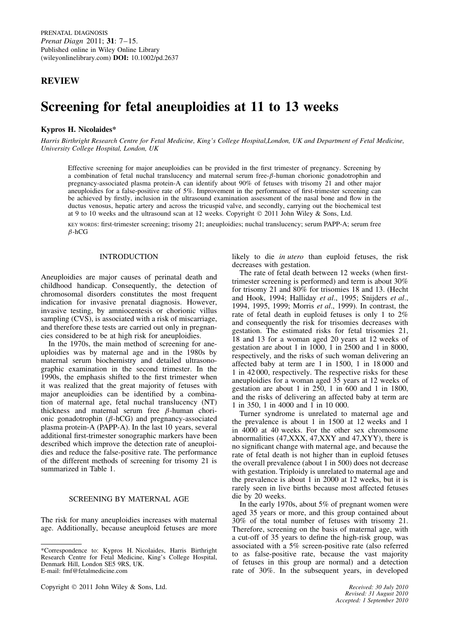### **REVIEW**

# **Screening for fetal aneuploidies at 11 to 13 weeks**

#### **Kypros H. Nicolaides\***

*Harris Birthright Research Centre for Fetal Medicine, King's College Hospital,London, UK and Department of Fetal Medicine, University College Hospital, London, UK*

Effective screening for major aneuploidies can be provided in the first trimester of pregnancy. Screening by a combination of fetal nuchal translucency and maternal serum free-*β*-human chorionic gonadotrophin and pregnancy-associated plasma protein-A can identify about 90% of fetuses with trisomy 21 and other major aneuploidies for a false-positive rate of 5%. Improvement in the performance of first-trimester screening can be achieved by firstly, inclusion in the ultrasound examination assessment of the nasal bone and flow in the ductus venosus, hepatic artery and across the tricuspid valve, and secondly, carrying out the biochemical test at 9 to 10 weeks and the ultrasound scan at 12 weeks. Copyright  $\odot$  2011 John Wiley & Sons, Ltd.

KEY WORDS: first-trimester screening; trisomy 21; aneuploidies; nuchal translucency; serum PAPP-A; serum free *β*-hCG

#### INTRODUCTION

Aneuploidies are major causes of perinatal death and childhood handicap. Consequently, the detection of chromosomal disorders constitutes the most frequent indication for invasive prenatal diagnosis. However, invasive testing, by amniocentesis or chorionic villus sampling (CVS), is associated with a risk of miscarriage, and therefore these tests are carried out only in pregnancies considered to be at high risk for aneuploidies.

In the 1970s, the main method of screening for aneuploidies was by maternal age and in the 1980s by maternal serum biochemistry and detailed ultrasonographic examination in the second trimester. In the 1990s, the emphasis shifted to the first trimester when it was realized that the great majority of fetuses with major aneuploidies can be identified by a combination of maternal age, fetal nuchal translucency (NT) thickness and maternal serum free *β*-human chorionic gonadotrophin (*β*-hCG) and pregnancy-associated plasma protein-A (PAPP-A). In the last 10 years, several additional first-trimester sonographic markers have been described which improve the detection rate of aneuploidies and reduce the false-positive rate. The performance of the different methods of screening for trisomy 21 is summarized in Table 1.

#### SCREENING BY MATERNAL AGE

The risk for many aneuploidies increases with maternal age. Additionally, because aneuploid fetuses are more

Copyright 2011 John Wiley & Sons, Ltd. *Received: 30 July 2010*

likely to die *in utero* than euploid fetuses, the risk decreases with gestation.

The rate of fetal death between 12 weeks (when firsttrimester screening is performed) and term is about 30% for trisomy 21 and 80% for trisomies 18 and 13. (Hecht and Hook, 1994; Halliday *et al*., 1995; Snijders *et al*., 1994, 1995, 1999; Morris *et al*., 1999). In contrast, the rate of fetal death in euploid fetuses is only 1 to 2% and consequently the risk for trisomies decreases with gestation. The estimated risks for fetal trisomies 21, 18 and 13 for a woman aged 20 years at 12 weeks of gestation are about 1 in 1000, 1 in 2500 and 1 in 8000, respectively, and the risks of such woman delivering an affected baby at term are 1 in 1500, 1 in 18 000 and 1 in 42 000, respectively. The respective risks for these aneuploidies for a woman aged 35 years at 12 weeks of gestation are about 1 in 250, 1 in 600 and 1 in 1800, and the risks of delivering an affected baby at term are 1 in 350, 1 in 4000 and 1 in 10 000.

Turner syndrome is unrelated to maternal age and the prevalence is about 1 in 1500 at 12 weeks and 1 in 4000 at 40 weeks. For the other sex chromosome abnormalities (47,XXX, 47,XXY and 47,XYY), there is no significant change with maternal age, and because the rate of fetal death is not higher than in euploid fetuses the overall prevalence (about 1 in 500) does not decrease with gestation. Triploidy is unrelated to maternal age and the prevalence is about 1 in 2000 at 12 weeks, but it is rarely seen in live births because most affected fetuses die by 20 weeks.

In the early 1970s, about 5% of pregnant women were aged 35 years or more, and this group contained about 30% of the total number of fetuses with trisomy 21. Therefore, screening on the basis of maternal age, with a cut-off of 35 years to define the high-risk group, was associated with a 5% screen-positive rate (also referred to as false-positive rate, because the vast majority of fetuses in this group are normal) and a detection rate of 30%. In the subsequent years, in developed

<sup>\*</sup>Correspondence to: Kypros H. Nicolaides, Harris Birthright Research Centre for Fetal Medicine, King's College Hospital, Denmark Hill, London SE5 9RS, UK. E-mail: fmf@fetalmedicine.com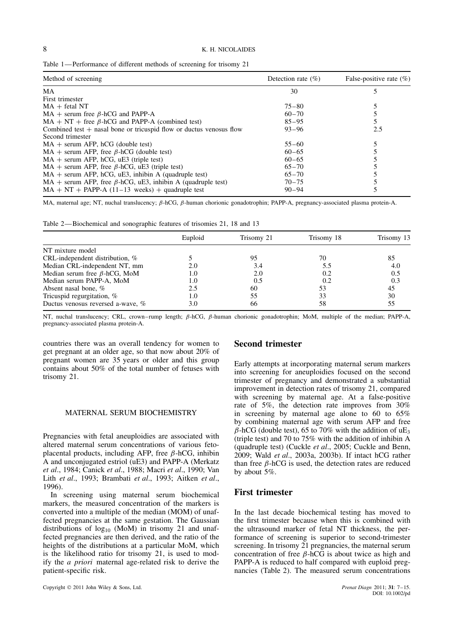|  | Table 1—Performance of different methods of screening for trisomy 21 |  |  |  |  |  |
|--|----------------------------------------------------------------------|--|--|--|--|--|
|  |                                                                      |  |  |  |  |  |

| Method of screening                                                   | Detection rate $(\% )$ | False-positive rate $(\%)$ |
|-----------------------------------------------------------------------|------------------------|----------------------------|
| <b>MA</b>                                                             | 30                     |                            |
| First trimester                                                       |                        |                            |
| $MA + fetal NT$                                                       | $75 - 80$              |                            |
| $MA$ + serum free $\beta$ -hCG and PAPP-A                             | $60 - 70$              |                            |
| $MA + NT + free \beta-hCG$ and PAPP-A (combined test)                 | $85 - 95$              |                            |
| Combined test $+$ nasal bone or tricuspid flow or ductus venosus flow | $93 - 96$              | 2.5                        |
| Second trimester                                                      |                        |                            |
| $MA + serum$ AFP, hCG (double test)                                   | $55 - 60$              |                            |
| $MA$ + serum AFP, free $\beta$ -hCG (double test)                     | $60 - 65$              |                            |
| $MA + serum$ AFP, hCG, uE3 (triple test)                              | $60 - 65$              |                            |
| $MA$ + serum AFP, free $\beta$ -hCG, uE3 (triple test)                | $65 - 70$              |                            |
| $MA$ + serum AFP, hCG, uE3, inhibin A (quadruple test)                | $65 - 70$              |                            |
| $MA$ + serum AFP, free $\beta$ -hCG, uE3, inhibin A (quadruple test)  | $70 - 75$              |                            |
| $MA + NT + PAPP-A (11-13 weeks) + quadruple test$                     | $90 - 94$              |                            |

MA, maternal age; NT, nuchal translucency; *β*-hCG, *β*-human chorionic gonadotrophin; PAPP-A, pregnancy-associated plasma protein-A.

Table 2—Biochemical and sonographic features of trisomies 21, 18 and 13

|                                     | Euploid | Trisomy 21 | Trisomy 18 | Trisomy 13 |
|-------------------------------------|---------|------------|------------|------------|
| NT mixture model                    |         |            |            |            |
| CRL-independent distribution, $%$   |         | 95         | 70         | 85         |
| Median CRL-independent NT, mm       | 2.0     | 3.4        |            | 4.0        |
| Median serum free $\beta$ -hCG, MoM | 1.0     | 2.0        | 0.2        | 0.5        |
| Median serum PAPP-A, MoM            | 1.0     | 0.5        | 0.2        | 0.3        |
| Absent nasal bone, %                | 2.5     | 60         | 53         | 45         |
| Tricuspid regurgitation, %          | 1.0     | 55         | 33         | 30         |
| Ductus venosus reversed a-wave, %   | 3.0     | 66         | 58         | 55         |

NT, nuchal translucency; CRL, crown–rump length; *β*-hCG, *β*-human chorionic gonadotrophin; MoM, multiple of the median; PAPP-A, pregnancy-associated plasma protein-A.

countries there was an overall tendency for women to get pregnant at an older age, so that now about 20% of pregnant women are 35 years or older and this group contains about 50% of the total number of fetuses with trisomy 21.

#### MATERNAL SERUM BIOCHEMISTRY

Pregnancies with fetal aneuploidies are associated with altered maternal serum concentrations of various fetoplacental products, including AFP, free *β*-hCG, inhibin A and unconjugated estriol (uE3) and PAPP-A (Merkatz *et al*., 1984; Canick *et al*., 1988; Macri *et al*., 1990; Van Lith *et al*., 1993; Brambati *et al*., 1993; Aitken *et al*., 1996).

In screening using maternal serum biochemical markers, the measured concentration of the markers is converted into a multiple of the median (MOM) of unaffected pregnancies at the same gestation. The Gaussian distributions of  $log_{10}$  (MoM) in trisomy 21 and unaffected pregnancies are then derived, and the ratio of the heights of the distributions at a particular MoM, which is the likelihood ratio for trisomy 21, is used to modify the *a priori* maternal age-related risk to derive the patient-specific risk.

### **Second trimester**

Early attempts at incorporating maternal serum markers into screening for aneuploidies focused on the second trimester of pregnancy and demonstrated a substantial improvement in detection rates of trisomy 21, compared with screening by maternal age. At a false-positive rate of 5%, the detection rate improves from 30% in screening by maternal age alone to 60 to 65% by combining maternal age with serum AFP and free  $\beta$ -hCG (double test), 65 to 70% with the addition of uE<sub>3</sub> (triple test) and 70 to 75% with the addition of inhibin  $\overrightarrow{A}$ (quadruple test) (Cuckle *et al*., 2005; Cuckle and Benn, 2009; Wald *et al*., 2003a, 2003b). If intact hCG rather than free *β*-hCG is used, the detection rates are reduced by about 5%.

### **First trimester**

In the last decade biochemical testing has moved to the first trimester because when this is combined with the ultrasound marker of fetal NT thickness, the performance of screening is superior to second-trimester screening. In trisomy 21 pregnancies, the maternal serum concentration of free *β*-hCG is about twice as high and PAPP-A is reduced to half compared with euploid pregnancies (Table 2). The measured serum concentrations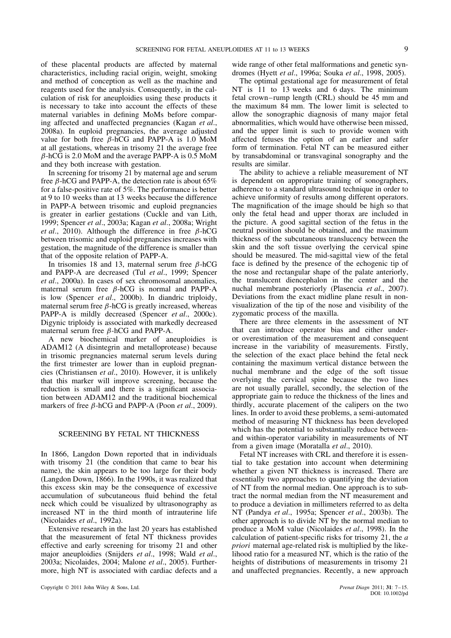of these placental products are affected by maternal characteristics, including racial origin, weight, smoking and method of conception as well as the machine and reagents used for the analysis. Consequently, in the calculation of risk for aneuploidies using these products it is necessary to take into account the effects of these maternal variables in defining MoMs before comparing affected and unaffected pregnancies (Kagan *et al*., 2008a). In euploid pregnancies, the average adjusted value for both free *β*-hCG and PAPP-A is 1.0 MoM at all gestations, whereas in trisomy 21 the average free *β*-hCG is 2.0 MoM and the average PAPP-A is 0.5 MoM and they both increase with gestation.

In screening for trisomy 21 by maternal age and serum free *β*-hCG and PAPP-A, the detection rate is about 65% for a false-positive rate of 5%. The performance is better at 9 to 10 weeks than at 13 weeks because the difference in PAPP-A between trisomic and euploid pregnancies is greater in earlier gestations (Cuckle and van Lith, 1999; Spencer *et al*., 2003a; Kagan *et al*., 2008a; Wright *et al*., 2010). Although the difference in free *β*-hCG between trisomic and euploid pregnancies increases with gestation, the magnitude of the difference is smaller than that of the opposite relation of PAPP-A.

In trisomies 18 and 13, maternal serum free *β*-hCG and PAPP-A are decreased (Tul *et al*., 1999; Spencer *et al*., 2000a). In cases of sex chromosomal anomalies, maternal serum free *β*-hCG is normal and PAPP-A is low (Spencer *et al.*, 2000b). In diandric triploidy, maternal serum free *β*-hCG is greatly increased, whereas PAPP-A is mildly decreased (Spencer *et al*., 2000c). Digynic triploidy is associated with markedly decreased maternal serum free *β*-hCG and PAPP-A.

A new biochemical marker of aneuploidies is ADAM12 (A disintegrin and metalloprotease) because in trisomic pregnancies maternal serum levels during the first trimester are lower than in euploid pregnancies (Christiansen *et al*., 2010). However, it is unlikely that this marker will improve screening, because the reduction is small and there is a significant association between ADAM12 and the traditional biochemical markers of free *β*-hCG and PAPP-A (Poon *et al*., 2009).

### SCREENING BY FETAL NT THICKNESS

In 1866, Langdon Down reported that in individuals with trisomy 21 (the condition that came to bear his name), the skin appears to be too large for their body (Langdon Down, 1866). In the 1990s, it was realized that this excess skin may be the consequence of excessive accumulation of subcutaneous fluid behind the fetal neck which could be visualized by ultrasonography as increased NT in the third month of intrauterine life (Nicolaides *et al*., 1992a).

Extensive research in the last 20 years has established that the measurement of fetal NT thickness provides effective and early screening for trisomy 21 and other major aneuploidies (Snijders *et al*., 1998; Wald *et al*., 2003a; Nicolaides, 2004; Malone *et al*., 2005). Furthermore, high NT is associated with cardiac defects and a wide range of other fetal malformations and genetic syndromes (Hyett *et al*., 1996a; Souka *et al*., 1998, 2005).

The optimal gestational age for measurement of fetal NT is 11 to 13 weeks and 6 days. The minimum fetal crown–rump length (CRL) should be 45 mm and the maximum 84 mm. The lower limit is selected to allow the sonographic diagnosis of many major fetal abnormalities, which would have otherwise been missed, and the upper limit is such to provide women with affected fetuses the option of an earlier and safer form of termination. Fetal NT can be measured either by transabdominal or transvaginal sonography and the results are similar.

The ability to achieve a reliable measurement of NT is dependent on appropriate training of sonographers, adherence to a standard ultrasound technique in order to achieve uniformity of results among different operators. The magnification of the image should be high so that only the fetal head and upper thorax are included in the picture. A good sagittal section of the fetus in the neutral position should be obtained, and the maximum thickness of the subcutaneous translucency between the skin and the soft tissue overlying the cervical spine should be measured. The mid-sagittal view of the fetal face is defined by the presence of the echogenic tip of the nose and rectangular shape of the palate anteriorly, the translucent diencephalon in the center and the nuchal membrane posteriorly (Plasencia *et al*., 2007). Deviations from the exact midline plane result in nonvisualization of the tip of the nose and visibility of the zygomatic process of the maxilla.

There are three elements in the assessment of NT that can introduce operator bias and either underor overestimation of the measurement and consequent increase in the variability of measurements. Firstly, the selection of the exact place behind the fetal neck containing the maximum vertical distance between the nuchal membrane and the edge of the soft tissue overlying the cervical spine because the two lines are not usually parallel, secondly, the selection of the appropriate gain to reduce the thickness of the lines and thirdly, accurate placement of the calipers on the two lines. In order to avoid these problems, a semi-automated method of measuring NT thickness has been developed which has the potential to substantially reduce betweenand within-operator variability in measurements of NT from a given image (Moratalla *et al*., 2010).

Fetal NT increases with CRL and therefore it is essential to take gestation into account when determining whether a given NT thickness is increased. There are essentially two approaches to quantifying the deviation of NT from the normal median. One approach is to subtract the normal median from the NT measurement and to produce a deviation in millimeters referred to as delta NT (Pandya *et al*., 1995a; Spencer *et al*., 2003b). The other approach is to divide NT by the normal median to produce a MoM value (Nicolaides *et al*., 1998). In the calculation of patient-specific risks for trisomy 21, the *a priori* maternal age-related risk is multiplied by the likelihood ratio for a measured NT, which is the ratio of the heights of distributions of measurements in trisomy 21 and unaffected pregnancies. Recently, a new approach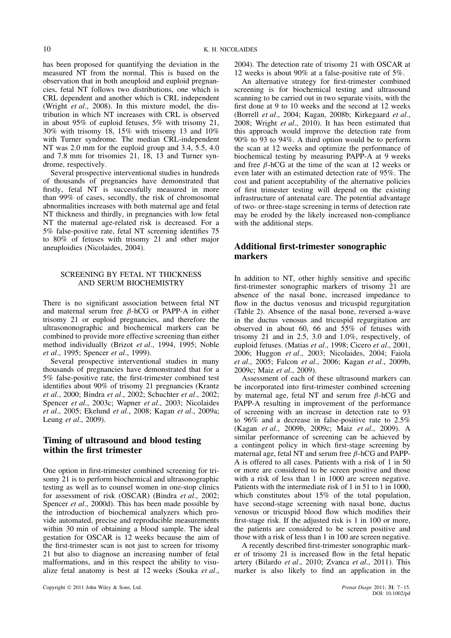has been proposed for quantifying the deviation in the measured NT from the normal. This is based on the observation that in both aneuploid and euploid pregnancies, fetal NT follows two distributions, one which is CRL dependent and another which is CRL independent (Wright *et al*., 2008). In this mixture model, the distribution in which NT increases with CRL is observed in about 95% of euploid fetuses, 5% with trisomy 21, 30% with trisomy 18, 15% with trisomy 13 and 10% with Turner syndrome. The median CRL-independent NT was 2.0 mm for the euploid group and 3.4, 5.5, 4.0 and 7.8 mm for trisomies 21, 18, 13 and Turner syndrome, respectively.

Several prospective interventional studies in hundreds of thousands of pregnancies have demonstrated that firstly, fetal NT is successfully measured in more than 99% of cases, secondly, the risk of chromosomal abnormalities increases with both maternal age and fetal NT thickness and thirdly, in pregnancies with low fetal NT the maternal age-related risk is decreased. For a 5% false-positive rate, fetal NT screening identifies 75 to 80% of fetuses with trisomy 21 and other major aneuploidies (Nicolaides, 2004).

#### SCREENING BY FETAL NT THICKNESS AND SERUM BIOCHEMISTRY

There is no significant association between fetal NT and maternal serum free *β*-hCG or PAPP-A in either trisomy 21 or euploid pregnancies, and therefore the ultrasononographic and biochemical markers can be combined to provide more effective screening than either method individually (Brizot *et al*., 1994, 1995; Noble *et al*., 1995; Spencer *et al*., 1999).

Several prospective interventional studies in many thousands of pregnancies have demonstrated that for a 5% false-positive rate, the first-trimester combined test identifies about 90% of trisomy 21 pregnancies (Krantz *et al*., 2000; Bindra *et al*., 2002; Schuchter *et al*., 2002; Spencer *et al*., 2003c; Wapner *et al*., 2003; Nicolaides *et al*., 2005; Ekelund *et al*., 2008; Kagan *et al*., 2009a; Leung *et al*., 2009).

### **Timing of ultrasound and blood testing within the first trimester**

One option in first-trimester combined screening for trisomy 21 is to perform biochemical and ultrasonographic testing as well as to counsel women in one-stop clinics for assessment of risk (OSCAR) (Bindra *et al*., 2002; Spencer *et al.*, 2000d). This has been made possible by the introduction of biochemical analyzers which provide automated, precise and reproducible measurements within 30 min of obtaining a blood sample. The ideal gestation for OSCAR is 12 weeks because the aim of the first-trimester scan is not just to screen for trisomy 21 but also to diagnose an increasing number of fetal malformations, and in this respect the ability to visualize fetal anatomy is best at 12 weeks (Souka *et al*.,

2004). The detection rate of trisomy 21 with OSCAR at 12 weeks is about 90% at a false-positive rate of 5%.

An alternative strategy for first-trimester combined screening is for biochemical testing and ultrasound scanning to be carried out in two separate visits, with the first done at 9 to 10 weeks and the second at 12 weeks (Borrell *et al*., 2004; Kagan, 2008b; Kirkegaard *et al*., 2008; Wright *et al*., 2010). It has been estimated that this approach would improve the detection rate from 90% to 93 to 94%. A third option would be to perform the scan at 12 weeks and optimize the performance of biochemical testing by measuring PAPP-A at 9 weeks and free *β*-hCG at the time of the scan at 12 weeks or even later with an estimated detection rate of 95%. The cost and patient acceptability of the alternative policies of first trimester testing will depend on the existing infrastructure of antenatal care. The potential advantage of two- or three-stage screening in terms of detection rate may be eroded by the likely increased non-compliance with the additional steps.

### **Additional first-trimester sonographic markers**

In addition to NT, other highly sensitive and specific first-trimester sonographic markers of trisomy 21 are absence of the nasal bone, increased impedance to flow in the ductus venosus and tricuspid regurgitation (Table 2). Absence of the nasal bone, reversed a-wave in the ductus venosus and tricuspid regurgitation are observed in about 60, 66 and 55% of fetuses with trisomy 21 and in 2.5, 3.0 and 1.0%, respectively, of euploid fetuses. (Matias *et al*., 1998; Cicero *et al*., 2001, 2006; Huggon *et al*., 2003; Nicolaides, 2004; Faiola *et al*., 2005; Falcon *et al*., 2006; Kagan *et al*., 2009b, 2009c; Maiz *et al*., 2009).

Assessment of each of these ultrasound markers can be incorporated into first-trimester combined screening by maternal age, fetal NT and serum free *β*-hCG and PAPP-A resulting in improvement of the performance of screening with an increase in detection rate to 93 to 96% and a decrease in false-positive rate to 2.5% (Kagan *et al*., 2009b, 2009c; Maiz *et al*., 2009). A similar performance of screening can be achieved by a contingent policy in which first-stage screening by maternal age, fetal NT and serum free *β*-hCG and PAPP-A is offered to all cases. Patients with a risk of 1 in 50 or more are considered to be screen positive and those with a risk of less than 1 in 1000 are screen negative. Patients with the intermediate risk of 1 in 51 to 1 in 1000, which constitutes about 15% of the total population. have second-stage screening with nasal bone, ductus venosus or tricuspid blood flow which modifies their first-stage risk. If the adjusted risk is 1 in 100 or more, the patients are considered to be screen positive and those with a risk of less than 1 in 100 are screen negative.

A recently described first-trimester sonographic marker of trisomy 21 is increased flow in the fetal hepatic artery (Bilardo *et al*., 2010; Zvanca *et al*., 2011). This marker is also likely to find an application in the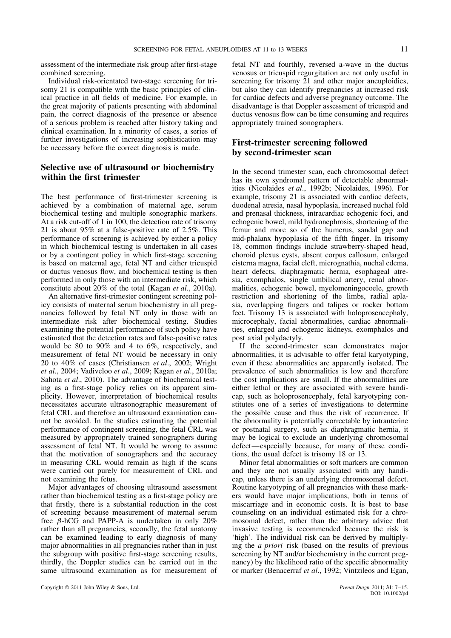assessment of the intermediate risk group after first-stage combined screening.

Individual risk-orientated two-stage screening for trisomy 21 is compatible with the basic principles of clinical practice in all fields of medicine. For example, in the great majority of patients presenting with abdominal pain, the correct diagnosis of the presence or absence of a serious problem is reached after history taking and clinical examination. In a minority of cases, a series of further investigations of increasing sophistication may be necessary before the correct diagnosis is made.

## **Selective use of ultrasound or biochemistry within the first trimester**

The best performance of first-trimester screening is achieved by a combination of maternal age, serum biochemical testing and multiple sonographic markers. At a risk cut-off of 1 in 100, the detection rate of trisomy 21 is about 95% at a false-positive rate of 2.5%. This performance of screening is achieved by either a policy in which biochemical testing is undertaken in all cases or by a contingent policy in which first-stage screening is based on maternal age, fetal NT and either tricuspid or ductus venosus flow, and biochemical testing is then performed in only those with an intermediate risk, which constitute about 20% of the total (Kagan *et al*., 2010a).

An alternative first-trimester contingent screening policy consists of maternal serum biochemistry in all pregnancies followed by fetal NT only in those with an intermediate risk after biochemical testing. Studies examining the potential performance of such policy have estimated that the detection rates and false-positive rates would be 80 to 90% and 4 to 6%, respectively, and measurement of fetal NT would be necessary in only 20 to 40% of cases (Christiansen *et al*., 2002; Wright *et al*., 2004; Vadiveloo *et al*., 2009; Kagan *et al*., 2010a; Sahota *et al*., 2010). The advantage of biochemical testing as a first-stage policy relies on its apparent simplicity. However, interpretation of biochemical results necessitates accurate ultrasonographic measurement of fetal CRL and therefore an ultrasound examination cannot be avoided. In the studies estimating the potential performance of contingent screening, the fetal CRL was measured by appropriately trained sonographers during assessment of fetal NT. It would be wrong to assume that the motivation of sonographers and the accuracy in measuring CRL would remain as high if the scans were carried out purely for measurement of CRL and not examining the fetus.

Major advantages of choosing ultrasound assessment rather than biochemical testing as a first-stage policy are that firstly, there is a substantial reduction in the cost of screening because measurement of maternal serum free *β*-hCG and PAPP-A is undertaken in only 20% rather than all pregnancies, secondly, the fetal anatomy can be examined leading to early diagnosis of many major abnormalities in all pregnancies rather than in just the subgroup with positive first-stage screening results, thirdly, the Doppler studies can be carried out in the same ultrasound examination as for measurement of fetal NT and fourthly, reversed a-wave in the ductus venosus or tricuspid regurgitation are not only useful in screening for trisomy 21 and other major aneuploidies, but also they can identify pregnancies at increased risk for cardiac defects and adverse pregnancy outcome. The disadvantage is that Doppler assessment of tricuspid and ductus venosus flow can be time consuming and requires appropriately trained sonographers.

### **First-trimester screening followed by second-trimester scan**

In the second trimester scan, each chromosomal defect has its own syndromal pattern of detectable abnormalities (Nicolaides *et al*., 1992b; Nicolaides, 1996). For example, trisomy 21 is associated with cardiac defects, duodenal atresia, nasal hypoplasia, increased nuchal fold and prenasal thickness, intracardiac echogenic foci, and echogenic bowel, mild hydronephrosis, shortening of the femur and more so of the humerus, sandal gap and mid-phalanx hypoplasia of the fifth finger. In trisomy 18, common findings include strawberry-shaped head, choroid plexus cysts, absent corpus callosum, enlarged cisterna magna, facial cleft, micrognathia, nuchal edema, heart defects, diaphragmatic hernia, esophageal atresia, exomphalos, single umbilical artery, renal abnormalities, echogenic bowel, myelomeningocoele, growth restriction and shortening of the limbs, radial aplasia, overlapping fingers and talipes or rocker bottom feet. Trisomy 13 is associated with holoprosencephaly, microcephaly, facial abnormalities, cardiac abnormalities, enlarged and echogenic kidneys, exomphalos and post axial polydactyly.

If the second-trimester scan demonstrates major abnormalities, it is advisable to offer fetal karyotyping, even if these abnormalities are apparently isolated. The prevalence of such abnormalities is low and therefore the cost implications are small. If the abnormalities are either lethal or they are associated with severe handicap, such as holoprosencephaly, fetal karyotyping constitutes one of a series of investigations to determine the possible cause and thus the risk of recurrence. If the abnormality is potentially correctable by intrauterine or postnatal surgery, such as diaphragmatic hernia, it may be logical to exclude an underlying chromosomal defect—especially because, for many of these conditions, the usual defect is trisomy 18 or 13.

Minor fetal abnormalities or soft markers are common and they are not usually associated with any handicap, unless there is an underlying chromosomal defect. Routine karyotyping of all pregnancies with these markers would have major implications, both in terms of miscarriage and in economic costs. It is best to base counseling on an individual estimated risk for a chromosomal defect, rather than the arbitrary advice that invasive testing is recommended because the risk is 'high'. The individual risk can be derived by multiplying the *a priori* risk (based on the results of previous screening by NT and/or biochemistry in the current pregnancy) by the likelihood ratio of the specific abnormality or marker (Benacerraf *et al*., 1992; Vintzileos and Egan,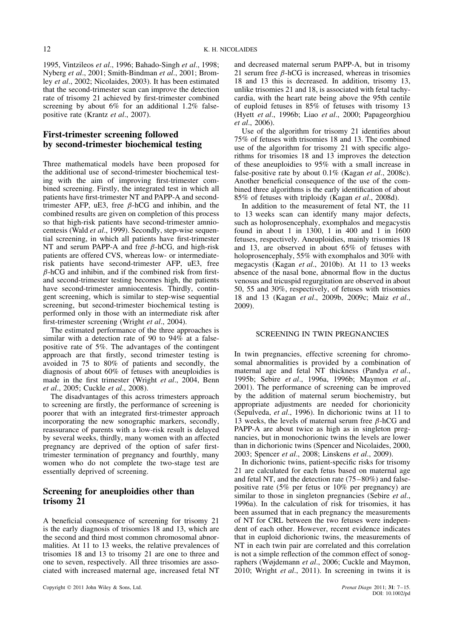1995, Vintzileos *et al*., 1996; Bahado-Singh *et al*., 1998; Nyberg *et al*., 2001; Smith-Bindman *et al*., 2001; Bromley *et al*., 2002; Nicolaides, 2003). It has been estimated that the second-trimester scan can improve the detection rate of trisomy 21 achieved by first-trimester combined screening by about 6% for an additional 1.2% falsepositive rate (Krantz *et al*., 2007).

### **First-trimester screening followed by second-trimester biochemical testing**

Three mathematical models have been proposed for the additional use of second-trimester biochemical testing with the aim of improving first-trimester combined screening. Firstly, the integrated test in which all patients have first-trimester NT and PAPP-A and secondtrimester AFP, uE3, free *β*-hCG and inhibin, and the combined results are given on completion of this process so that high-risk patients have second-trimester amniocentesis (Wald *et al*., 1999). Secondly, step-wise sequential screening, in which all patients have first-trimester NT and serum PAPP-A and free *β*-hCG, and high-risk patients are offered CVS, whereas low- or intermediaterisk patients have second-trimester AFP, uE3, free *β*-hCG and inhibin, and if the combined risk from firstand second-trimester testing becomes high, the patients have second-trimester amniocentesis. Thirdly, contingent screening, which is similar to step-wise sequential screening, but second-trimester biochemical testing is performed only in those with an intermediate risk after first-trimester screening (Wright *et al*., 2004).

The estimated performance of the three approaches is similar with a detection rate of 90 to  $94\%$  at a falsepositive rate of 5%. The advantages of the contingent approach are that firstly, second trimester testing is avoided in 75 to 80% of patients and secondly, the diagnosis of about 60% of fetuses with aneuploidies is made in the first trimester (Wright *et al*., 2004, Benn *et al*., 2005; Cuckle *et al*., 2008).

The disadvantages of this across trimesters approach to screening are firstly, the performance of screening is poorer that with an integrated first-trimester approach incorporating the new sonographic markers, secondly, reassurance of parents with a low-risk result is delayed by several weeks, thirdly, many women with an affected pregnancy are deprived of the option of safer firsttrimester termination of pregnancy and fourthly, many women who do not complete the two-stage test are essentially deprived of screening.

### **Screening for aneuploidies other than trisomy 21**

A beneficial consequence of screening for trisomy 21 is the early diagnosis of trisomies 18 and 13, which are the second and third most common chromosomal abnormalities. At 11 to 13 weeks, the relative prevalences of trisomies 18 and 13 to trisomy 21 are one to three and one to seven, respectively. All three trisomies are associated with increased maternal age, increased fetal NT

and decreased maternal serum PAPP-A, but in trisomy 21 serum free *β*-hCG is increased, whereas in trisomies 18 and 13 this is decreased. In addition, trisomy 13, unlike trisomies 21 and 18, is associated with fetal tachycardia, with the heart rate being above the 95th centile of euploid fetuses in 85% of fetuses with trisomy 13 (Hyett *et al*., 1996b; Liao *et al*., 2000; Papageorghiou *et al*., 2006).

Use of the algorithm for trisomy 21 identifies about 75% of fetuses with trisomies 18 and 13. The combined use of the algorithm for trisomy 21 with specific algorithms for trisomies 18 and 13 improves the detection of these aneuploidies to 95% with a small increase in false-positive rate by about 0.1% (Kagan *et al*., 2008c). Another beneficial consequence of the use of the combined three algorithms is the early identification of about 85% of fetuses with triploidy (Kagan *et al*., 2008d).

In addition to the measurement of fetal NT, the 11 to 13 weeks scan can identify many major defects, such as holoprosencephaly, exomphalos and megacystis found in about 1 in 1300, 1 in 400 and 1 in 1600 fetuses, respectively. Aneuploidies, mainly trisomies 18 and 13, are observed in about 65% of fetuses with holoprosencephaly, 55% with exomphalos and 30% with megacystis (Kagan *et al*., 2010b). At 11 to 13 weeks absence of the nasal bone, abnormal flow in the ductus venosus and tricuspid regurgitation are observed in about 50, 55 and 30%, respectively, of fetuses with trisomies 18 and 13 (Kagan *et al*., 2009b, 2009c; Maiz *et al*., 2009).

#### SCREENING IN TWIN PREGNANCIES

In twin pregnancies, effective screening for chromosomal abnormalities is provided by a combination of maternal age and fetal NT thickness (Pandya *et al*., 1995b; Sebire *et al*., 1996a, 1996b; Maymon *et al*., 2001). The performance of screening can be improved by the addition of maternal serum biochemistry, but appropriate adjustments are needed for chorionicity (Sepulveda, *et al*., 1996). In dichorionic twins at 11 to 13 weeks, the levels of maternal serum free *β*-hCG and PAPP-A are about twice as high as in singleton pregnancies, but in monochorionic twins the levels are lower than in dichorionic twins (Spencer and Nicolaides, 2000, 2003; Spencer *et al*., 2008; Linskens *et al*., 2009).

In dichorionic twins, patient-specific risks for trisomy 21 are calculated for each fetus based on maternal age and fetal NT, and the detection rate (75–80%) and falsepositive rate (5% per fetus or 10% per pregnancy) are similar to those in singleton pregnancies (Sebire *et al*., 1996a). In the calculation of risk for trisomies, it has been assumed that in each pregnancy the measurements of NT for CRL between the two fetuses were independent of each other. However, recent evidence indicates that in euploid dichorionic twins, the measurements of NT in each twin pair are correlated and this correlation is not a simple reflection of the common effect of sonographers (Wøjdemann *et al*., 2006; Cuckle and Maymon, 2010; Wright *et al*., 2011). In screening in twins it is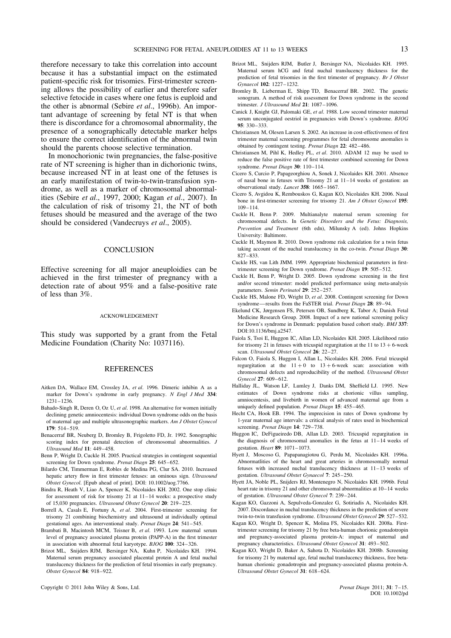therefore necessary to take this correlation into account because it has a substantial impact on the estimated patient-specific risk for trisomies. First-trimester screening allows the possibility of earlier and therefore safer selective fetocide in cases where one fetus is euploid and the other is abnormal (Sebire *et al*., 1996b). An important advantage of screening by fetal NT is that when there is discordance for a chromosomal abnormality, the presence of a sonographically detectable marker helps to ensure the correct identification of the abnormal twin should the parents choose selective termination.

In monochorionic twin pregnancies, the false-positive rate of NT screening is higher than in dichorionic twins, because increased NT in at least one of the fetuses is an early manifestation of twin-to-twin-transfusion syndrome, as well as a marker of chromosomal abnormalities (Sebire *et al*., 1997, 2000; Kagan *et al*., 2007). In the calculation of risk of trisomy 21, the NT of both fetuses should be measured and the average of the two should be considered (Vandecruys *et al*., 2005).

#### **CONCLUSION**

Effective screening for all major aneuploidies can be achieved in the first trimester of pregnancy with a detection rate of about 95% and a false-positive rate of less than 3%.

#### ACKNOWLEDGEMENT

This study was supported by a grant from the Fetal Medicine Foundation (Charity No: 1037116).

#### **REFERENCES**

- Aitken DA, Wallace EM, Crossley JA, *et al*. 1996. Dimeric inhibin A as a marker for Down's syndrome in early pregnancy. *N Engl J Med* **334**: 1231–1236.
- Bahado-Singh R, Deren O, Oz U, *et al*. 1998. An alternative for women initially declining genetic amniocentesis: individual Down syndrome odds on the basis of maternal age and multiple ultrasonographic markers. *Am J Obstet Gynecol* **179**: 514–519.
- Benacerraf BR, Neuberg D, Bromley B, Frigoletto FD, Jr. 1992. Sonographic scoring index for prenatal detection of chromosomal abnormalities. *J Ultrasound Med* **11**: 449–458.
- Benn P, Wright D, Cuckle H. 2005. Practical strategies in contingent sequential screening for Down syndrome. *Prenat Diagn* **25**: 645–652.
- Bilardo CM, Timmerman E, Robles de Medina PG, Clur SA. 2010. Increased hepatic artery flow in first trimester fetuses: an ominous sign. *Ultrasound Obstet Gynecol*. [Epub ahead of print]. DOI: 10.1002/uog.7766.
- Bindra R, Heath V, Liao A, Spencer K, Nicolaides KH. 2002. One stop clinic for assessment of risk for trisomy 21 at 11–14 weeks: a prospective study of 15,030 pregnancies. *Ultrasound Obstet Gynecol* **20**: 219–225.
- Borrell A, Casals E, Fortuny A, *et al*. 2004. First-trimester screening for trisomy 21 combining biochemistry and ultrasound at individually optimal gestational ages. An interventional study. *Prenat Diagn* **24**: 541–545.
- Brambati B, Macintosh MCM, Teisner B, *et al*. 1993. Low maternal serum level of pregnancy associated plasma protein (PAPP-A) in the first trimester in association with abnormal fetal karyotype. *BJOG* **100**: 324–326.
- Brizot ML, Snijders RJM, Bersinger NA, Kuhn P, Nicolaides KH. 1994. Maternal serum pregnancy associated placental protein A and fetal nuchal translucency thickness for the prediction of fetal trisomies in early pregnancy. *Obstet Gynecol* **84**: 918–922.
- Brizot ML, Snijders RJM, Butler J, Bersinger NA, Nicolaides KH. 1995. Maternal serum hCG and fetal nuchal translucency thickness for the prediction of fetal trisomies in the first trimester of pregnancy. *Br J Obstet Gynaecol* **102**: 1227–1232.
- Bromley B, Lieberman E, Shipp TD, Benacerraf BR. 2002. The genetic sonogram. A method of risk assessment for Down syndrome in the second trimester. *J Ultrasound Med* **21**: 1087–1096.
- Canick J, Knight GJ, Palomaki GE, *et al*. 1988. Low second trimester maternal serum unconjugated oestriol in pregnancies with Down's syndrome. *BJOG* **95**: 330–333.
- Christiansen M, Olesen Larsen S. 2002. An increase in cost-effectiveness of first trimester maternal screening programmes for fetal chromosome anomalies is obtained by contingent testing. *Prenat Diagn* **22**: 482–486.
- Christiansen M, Pihl K, Hedley PL, *et al*. 2010. ADAM 12 may be used to reduce the false positive rate of first trimester combined screening for Down syndrome. *Prenat Diagn* **30**: 110–114.
- Cicero S, Curcio P, Papageorghiou A, Sonek J, Nicolaides KH. 2001. Absence of nasal bone in fetuses with Trisomy 21 at 11–14 weeks of gestation: an observational study. *Lancet* **358**: 1665–1667.
- Cicero S, Avgidou K, Rembouskos G, Kagan KO, Nicolaides KH. 2006. Nasal bone in first-trimester screening for trisomy 21. *Am J Obstet Gynecol* **195**: 109–114.
- Cuckle H, Benn P. 2009. Multianalyte maternal serum screening for chromosomal defects. In *Genetic Disorders and the Fetus: Diagnosis, Prevention and Treatment* (6th edn), Milunsky A (ed). Johns Hopkins University: Baltimore.
- Cuckle H, Maymon R. 2010. Down syndrome risk calculation for a twin fetus taking account of the nuchal translucency in the co-twin. *Prenat Diagn* **30**: 827–833.
- Cuckle HS, van Lith JMM. 1999. Appropriate biochemical parameters in firsttrimester screening for Down syndrome. *Prenat Diagn* **19**: 505–512.
- Cuckle H, Benn P, Wright D. 2005. Down syndrome screening in the first and/or second trimester: model predicted performance using meta-analysis parameters. *Semin Perinatol* **29**: 252–257.
- Cuckle HS, Malone FD, Wright D, *et al*. 2008. Contingent screening for Down syndrome—results from the FaSTER trial. *Prenat Diagn* **28**: 89–94.
- Ekelund CK, Jørgensen FS, Petersen OB, Sundberg K, Tabor A; Danish Fetal Medicine Research Group. 2008. Impact of a new national screening policy for Down's syndrome in Denmark: population based cohort study. *BMJ* **337**: DOI:10.1136/bmj.a2547.
- Faiola S, Tsoi E, Huggon IC, Allan LD, Nicolaides KH. 2005. Likelihood ratio for trisomy 21 in fetuses with tricuspid regurgitation at the 11 to  $13 + 6$ -week scan. *Ultrasound Obstet Gynecol* **26**: 22–27.
- Falcon O, Faiola S, Huggon I, Allan L, Nicolaides KH. 2006. Fetal tricuspid regurgitation at the  $11 + 0$  to  $13 + 6$ -week scan: association with chromosomal defects and reproducibility of the method. *Ultrasound Obstet Gynecol* **27**: 609–612.
- Halliday JL, Watson LF, Lumley J, Danks DM, Sheffield LJ. 1995. New estimates of Down syndrome risks at chorionic villus sampling, amniocentesis, and livebirth in women of advanced maternal age from a uniquely defined population. *Prenat Diagn* **15**: 455–465.
- Hecht CA, Hook EB. 1994. The imprecision in rates of Down syndrome by 1-year maternal age intervals: a critical analysis of rates used in biochemical screening. *Prenat Diagn* **14**: 729–738.
- Huggon IC, DeFigueiredo DB, Allan LD. 2003. Tricuspid regurgitation in the diagnosis of chromosomal anomalies in the fetus at  $11-14$  weeks of gestation. *Heart* **89**: 1071–1073.
- Hyett J, Moscoso G, Papapanagiotou G, Perdu M, Nicolaides KH. 1996a. Abnormatlities of the heart and great arteries in chromosomally normal fetuses with increased nuchal translucency thickness at 11–13 weeks of gestation. *Ultrasound Obstet Gynaecol* **7**: 245–250.
- Hyett JA, Noble PL, Snijders RJ, Montenegro N, Nicolaides KH. 1996b. Fetal heart rate in trisomy 21 and other chromosomal abnormalities at 10–14 weeks of gestation. *Ultrasound Obstet Gynecol* **7**: 239–244.
- Kagan KO, Gazzoni A, Sepulveda-Gonzalez G, Sotiriadis A, Nicolaides KH. 2007. Discordance in nuchal translucency thickness in the prediction of severe twin-to-twin transfusion syndrome. *Ultrasound Obstet Gynecol* **29**: 527–532.
- Kagan KO, Wright D, Spencer K, Molina FS, Nicolaides KH. 2008a. Firsttrimester screening for trisomy 21 by free beta-human chorionic gonadotropin and pregnancy-associated plasma protein-A: impact of maternal and pregnancy characteristics. *Ultrasound Obstet Gynecol* **31**: 493–502.
- Kagan KO, Wright D, Baker A, Sahota D, Nicolaides KH. 2008b. Screening for trisomy 21 by maternal age, fetal nuchal translucency thickness, free betahuman chorionic gonadotropin and pregnancy-associated plasma protein-A. *Ultrasound Obstet Gynecol* **31**: 618–624.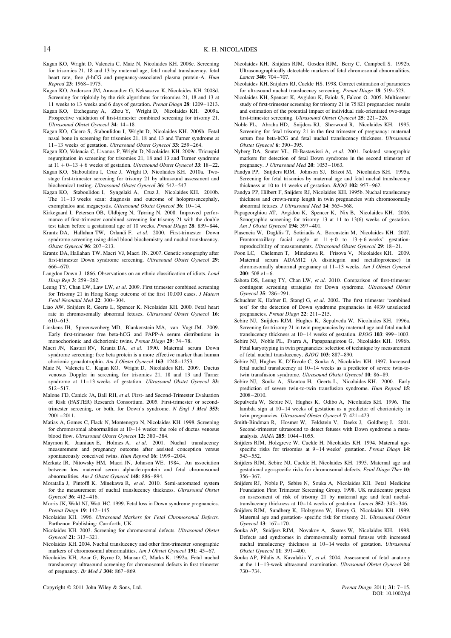- Kagan KO, Wright D, Valencia C, Maiz N, Nicolaides KH. 2008c. Screening for trisomies 21, 18 and 13 by maternal age, fetal nuchal translucency, fetal heart rate, free *β*-hCG and pregnancy-associated plasma protein-A. *Hum Reprod* **23**: 1968–1975.
- Kagan KO, Anderson JM, Anwandter G, Neksasova K, Nicolaides KH. 2008d. Screening for triploidy by the risk algorithms for trisomies 21, 18 and 13 at 11 weeks to 13 weeks and 6 days of gestation. *Prenat Diagn* **28**: 1209–1213.
- Kagan KO, Etchegaray A, Zhou Y, Wright D, Nicolaides KH. 2009a. Prospective validation of first-trimester combined screening for trisomy 21. *Ultrasound Obstet Gynecol* **34**: 14–18.
- Kagan KO, Cicero S, Staboulidou I, Wright D, Nicolaides KH. 2009b. Fetal nasal bone in screening for trisomies 21, 18 and 13 and Turner syndrome at 11–13 weeks of gestation. *Ultrasound Obstet Gynecol* **33**: 259–264.
- Kagan KO, Valencia C, Livanos P, Wright D, Nicolaides KH. 2009c. Tricuspid regurgitation in screening for trisomies 21, 18 and 13 and Turner syndrome at 11 + 0–13 + 6 weeks of gestation. *Ultrasound Obstet Gynecol* **33**: 18–22.
- Kagan KO, Staboulidou I, Cruz J, Wright D, Nicolaides KH. 2010a. Twostage first-trimester screening for trisomy 21 by ultrasound assessment and biochemical testing. *Ultrasound Obstet Gynecol* **36**: 542–547.
- Kagan KO, Staboulidou I, Syngelaki A, Cruz J, Nicolaides KH. 2010b. The 11–13 weeks scan: diagnosis and outcome of holoprosencephaly, exomphalos and megacystis. *Ultrasound Obstet Gynecol* **36**: 10–14.
- Kirkegaard I, Petersen OB, Uldbjerg N, Tørring N. 2008. Improved performance of first-trimester combined screening for trisomy 21 with the double test taken before a gestational age of 10 weeks. *Prenat Diagn* **28**: 839–844.
- Krantz DA, Hallahan TW, Orlandi F, *et al*. 2000. First-trimester Down syndrome screening using dried blood biochemistry and nuchal translucency. *Obstet Gynecol* **96**: 207–213.
- Krantz DA, Hallahan TW, Macri VJ, Macri JN. 2007. Genetic sonography after first-trimester Down syndrome screening. *Ultrasound Obstet Gynecol* **29**: 666–670.
- Langdon Down J. 1866. Observations on an ethnic classification of idiots. *Lond Hosp Rep* **3**: 259–262.
- Leung TY, Chan LW, Law LW, *et al*. 2009. First trimester combined screening for Trisomy 21 in Hong Kong: outcome of the first 10,000 cases. *J Matern Fetal Neonatal Med* **22**: 300–304.
- Liao AW, Snijders R, Geerts L, Spencer K, Nicolaides KH. 2000. Fetal heart rate in chromosomally abnormal fetuses. *Ultrasound Obstet Gynecol* **16**: 610–613.
- Linskens IH, Spreeuwenberg MD, Blankenstein MA, van Vugt JM. 2009. Early first-trimester free beta-hCG and PAPP-A serum distributions in monochorionic and dichorionic twins. *Prenat Diagn* **29**: 74–78.
- Macri JN, Kasturi RV, Krantz DA, *et al*. 1990. Maternal serum Down syndrome screening: free beta protein is a more effective marker than human chorionic gonadotrophin. *Am J Obstet Gynecol* **163**: 1248–1253.
- Maiz N, Valencia C, Kagan KO, Wright D, Nicolaides KH. 2009. Ductus venosus Doppler in screening for trisomies 21, 18 and 13 and Turner syndrome at 11–13 weeks of gestation. *Ultrasound Obstet Gynecol* **33**: 512–517.
- Malone FD, Canick JA, Ball RH, *et al*. First- and Second-Trimester Evaluation of Risk (FASTER) Research Consortium. 2005. First-trimester or secondtrimester screening, or both, for Down's syndrome. *N Engl J Med* **353**: 2001–2011.
- Matias A, Gomes C, Flack N, Montenegro N, Nicolaides KH. 1998. Screening for chromosomal abnormalities at 10–14 weeks: the role of ductus venosus blood flow. *Ultrasound Obstet Gynecol* **12**: 380–384.
- Maymon R, Jauniaux E, Holmes A, *et al*. 2001. Nuchal translucency measurement and pregnancy outcome after assisted conception versus spontaneously conceived twins. *Hum Reprod* **16**: 1999–2004.
- Merkatz IR, Nitowsky HM, Macri JN, Johnson WE. 1984.. An association between low maternal serum alpha-fetoprotein and fetal chromosomal abnormalities. *Am J Obstet Gynecol* **148**: 886–894.
- Moratalla J, Pintoffl K, Minekawa R, *et al*. 2010. Semi-automated system for the measurement of nuchal translucency thickness. *Ultrasound Obstet Gynecol* **36**: 412–416.
- Morris JK, Wald NJ, Watt HC. 1999. Fetal loss in Down syndrome pregnancies. *Prenat Diagn* **19**: 142–145.
- Nicolaides KH. 1996. *Ultrasound Markers for Fetal Chromosomal Defects.* Parthenon Publishing: Carnforth, UK.
- Nicolaides KH. 2003. Screening for chromosomal defects. *Ultrasound Obstet Gynecol* **21**: 313–321.
- Nicolaides KH. 2004. Nuchal translucency and other first-trimester sonographic markers of chromosomal abnormalities. *Am J Obstet Gynecol* **191**: 45–67.
- Nicolaides KH, Azar G, Byrne D, Mansur C, Marks K. 1992a. Fetal nuchal translucency: ultrasound screening for chromosomal defects in first trimester of pregnancy. *Br Med J* **304**: 867–869.

Copyright 2011 John Wiley & Sons, Ltd. *Prenat Diagn* 2011; **31**: 7–15.

- Nicolaides KH, Snijders RJM, Gosden RJM, Berry C, Campbell S. 1992b. Ultrasonographically detectable markers of fetal chromosomal abnormalities. *Lancet* **340**: 704–707.
- Nicolaides KH, Snijders RJ, Cuckle HS. 1998. Correct estimation of parameters for ultrasound nuchal translucency screening. *Prenat Diagn* **18**: 519–523.
- Nicolaides KH, Spencer K, Avgidou K, Faiola S, Falcon O. 2005. Multicenter study of first-trimester screening for trisomy 21 in 75 821 pregnancies: results and estimation of the potential impact of individual risk-orientated two-stage first-trimester screening. *Ultrasound Obstet Gynecol* **25**: 221–226.
- Noble PL, Abraha HD, Snijders RJ, Sherwood R, Nicolaides KH. 1995. Screening for fetal trisomy 21 in the first trimester of pregnancy: maternal serum free beta-hCG and fetal nuchal translucency thickness. *Ultrasound Obstet Gynecol* **6**: 390–395.
- Nyberg DA, Souter VL, El-Bastawissi A, *et al*. 2001. Isolated sonographic markers for detection of fetal Down syndrome in the second trimester of pregnancy. *J Ultrasound Med* **20**: 1053–1063.
- Pandya PP, Snijders RJM, Johnson SJ, Brizot M, Nicolaides KH. 1995a. Screening for fetal trisomies by maternal age and fetal nuchal translucency thickness at 10 to 14 weeks of gestation. *BJOG* **102**: 957–962.
- Pandya PP, Hilbert F, Snijders RJ, Nicolaides KH. 1995b. Nuchal translucency thickness and crown-rump length in twin pregnancies with chromosomally abnormal fetuses. *J Ultrasound Med* **14**: 565–568.
- Papageorghiou AT, Avgidou K, Spencer K, Nix B, Nicolaides KH. 2006. Sonographic screening for trisomy 13 at 11 to 13(6) weeks of gestation. *Am J Obstet Gynecol* **194**: 397–401.
- Plasencia W, Dagklis T, Sotiriadis A, Borenstein M, Nicolaides KH. 2007. Frontomaxillary facial angle at  $11 + 0$  to  $13 + 6$  weeks' gestationreproducibility of measurements. *Ultrasound Obstet Gynecol* **29**: 18–21.
- Poon LC, Chelemen T, Minekawa R, Frisova V, Nicolaides KH. 2009. Maternal serum ADAM12 (A disintegrin and metalloprotease) in chromosomally abnormal pregnancy at 11–13 weeks. *Am J Obstet Gynecol* **200**: 508.e1–6.
- Sahota DS, Leung TY, Chan LW, *et al*. 2010. Comparison of first-trimester contingent screening strategies for Down syndrome. *Ultrasound Obstet Gynecol* **35**: 286–291.
- Schuchter K, Hafner E, Stangl G, *et al*. 2002. The first trimester 'combined test' for the detection of Down syndrome pregnancies in 4939 unselected pregnancies. *Prenat Diagn* **22**: 211–215.
- Sebire NJ, Snijders RJM, Hughes K, Sepulveda W, Nicolaides KH. 1996a. Screening for trisomy 21 in twin pregnancies by maternal age and fetal nuchal translucency thickness at 10–14 weeks of gestation. *BJOG* **103**: 999–1003.
- Sebire NJ, Noble PL, Psarra A, Papapanagiotou G, Nicolaides KH. 1996b. Fetal karyotyping in twin pregnancies: selection of technique by measurement of fetal nuchal translucency. *BJOG* **103**: 887–890.
- Sebire NJ, Hughes K, D'Ercole C, Souka A, Nicolaides KH. 1997. Increased fetal nuchal translucency at 10–14 weeks as a predictor of severe twin-totwin transfusion syndrome. *Ultrasound Obstet Gynecol* **10**: 86–89.
- Sebire NJ, Souka A, Skentou H, Geerts L, Nicolaides KH. 2000. Early prediction of severe twin-to-twin transfusion syndrome. *Hum Reprod* **15**: 2008–2010.
- Sepulveda W, Sebire NJ, Hughes K, Odibo A, Nicolaides KH. 1996. The lambda sign at 10–14 weeks of gestation as a predictor of chorionicity in twin pregnancies. *Ultrasound Obstet Gynecol* **7**: 421–423.
- Smith-Bindman R, Hosmer W, Feldstein V, Deeks J, Goldberg J. 2001. Second-trimester ultrasound to detect fetuses with Down syndrome a metaanalysis. *JAMA* **285**: 1044–1055.
- Snijders RJM, Holzgreve W, Cuckle H, Nicolaides KH. 1994. Maternal agespecific risks for trisomies at 9–14 weeks' gestation. *Prenat Diagn* **14**: 543–552.
- Snijders RJM, Sebire NJ, Cuckle H, Nicolaides KH. 1995. Maternal age and gestational age-specific risks for chromosomal defects. *Fetal Diagn Ther* **10**: 356–367.
- Snijders RJ, Noble P, Sebire N, Souka A, Nicolaides KH. Fetal Medicine Foundation First Trimester Screening Group. 1998. UK multicentre project on assessment of risk of trisomy 21 by maternal age and fetal nuchaltranslucency thickness at 10–14 weeks of gestation. *Lancet* **352**: 343–346.
- Snijders RJM, Sundberg K, Holzgreve W, Henry G, Nicolaides KH. 1999. Maternal age and gestation- specific risk for trisomy 21. *Ultrasound Obstet Gynecol* **13**: 167–170.
- Souka AP, Snidjers RJM, Novakov A, Soares W, Nicolaides KH. 1998. Defects and syndromes in chromosomally normal fetuses with increased nuchal translucency thickness at 10–14 weeks of gestation. *Ultrasound Obstet Gynecol* **11**: 391–400.
- Souka AP, Pilalis A, Kavalakis Y, *et al*. 2004. Assessment of fetal anatomy at the 11–13-week ultrasound examination. *Ultrasound Obstet Gynecol* **24**: 730–734.

DOI: 10.1002/pd